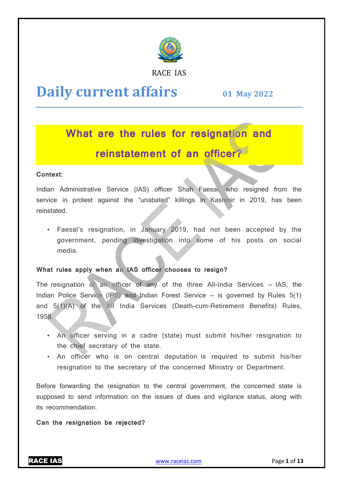

RACE IAS

# **Daily current affairs**

**01 May y 2022**

# **What are the rules for resignation and reinstatement of an officer?**

# **Context:**

Indian Administrative Service (IAS) officer Shah Faesal, who resigned from the service in protest against the "unabated" killings in Kashmir in 2019, has been reinstated.

• Faesal's resignation, in January 2 2019, had not been accepted by the government, pending investigation into some of his posts on social media. • Faesal's resignation, in January 2019, had not been accepted by the government, pending investigation into some of his posts on social media.<br>What rules apply when an IAS officer chooses to resign?<br>The resignation of an

# **What rules apply when an IAS officer chooses to resign?**

Indian Police Service (IPS) and Indian Forest Service  $-$  is governed by Rules  $5(1)$ and 5(1)(A) of the All India Services (Death-cum-Retirement Benefits) Rules, 1958.

- An officer serving in a cadre (state) must submit his/her resignation to the chief secretary of the state. ath-cum-Retirement<br>must submit his/he<br>tion is required to<br>cerned Ministry or<br>l government, the c
- An officer who is on central deputation is required to submit his/her resignation to the secretary of the concerned Ministry or Department.

Before forwarding the resignation to the central government, the concerned state is supposed to send information on the issues of dues and vigilance status, along with its recommendation.

**Can the resignation be rejected?**

RACE IAS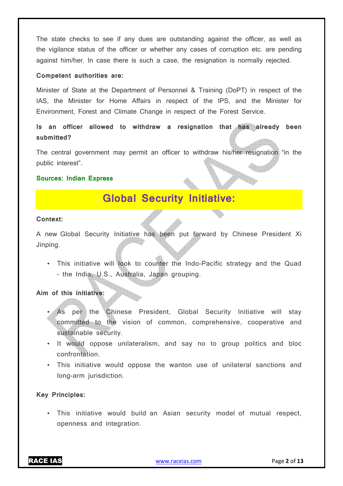The state checks to see if any dues are outstanding against the officer, as well as the vigilance status of the officer or whether any cases of corruption etc. are pending against him/her. In case there is such a case, the resignation is normally rejected.

#### **Competent authorities are:**

Minister of State at the Department of Personnel & Training (DoPT) in respect of the IAS, the Minister for Home Affairs in respect of the IPS, and the Minister for Environment, Forest and Climate Change in respect of the Forest Service.

**Is an officer allowed to withdraw a resignation that has already been submitted?** 

The central government may permit an officer to withdraw his/her resignation "in the public interest".

# **Sources: Indian Express**

# **Global Security Initiative:**

#### **Context:**

A new Global Security Initiative has been put forward by Chinese President Xi Jinping.

• This initiative will look to counter the Indo-Pacific strategy and the Quad – the India, U.S., Australia, Japan grouping.

**Aim of this initiative:** 

- As per the Chinese President, Global Security Initiative will stay committed to the vision of common, comprehensive, cooperative and sustainable security.
- It would oppose unilateralism, and say no to group politics and bloc confrontation.
- This initiative would oppose the wanton use of unilateral sanctions and long-arm jurisdiction.

# **Key Principles:**

• This initiative would build an Asian security model of mutual respect, openness and integration.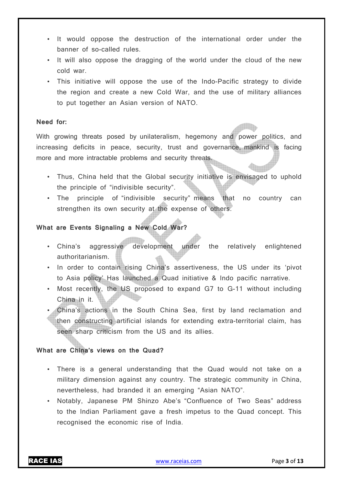- It would oppose the destruction of the international order under the banner of so-called rules.
- It will also oppose the dragging of the world under the cloud of the new cold war.
- This initiative will oppose the use of the Indo-Pacific strategy to divide the region and create a new Cold War, and the use of military alliances to put together an Asian version of NATO.

# **Need for:**

With growing threats posed by unilateralism, hegemony and power politics, and increasing deficits in peace, security, trust and governance, mankind is facing more and more intractable problems and security threats.

- Thus, China held that the Global security initiative is envisaged to uphold the principle of "indivisible security".
- The principle of "indivisible security" means that no country can strengthen its own security at the expense of others.

# **What are Events Signaling a New Cold War?**

- China's aggressive development under the relatively enlightened authoritarianism.
- In order to contain rising China's assertiveness, the US under its 'pivot to Asia policy' Has launched a Quad initiative & Indo pacific narrative.
- Most recently, the US proposed to expand G7 to G-11 without including China in it.
- China's actions in the South China Sea, first by land reclamation and then constructing artificial islands for extending extra-territorial claim, has seen sharp criticism from the US and its allies.

# **What are China's views on the Quad?**

- There is a general understanding that the Quad would not take on a military dimension against any country. The strategic community in China, nevertheless, had branded it an emerging "Asian NATO".
- Notably, Japanese PM Shinzo Abe's "Confluence of Two Seas" address to the Indian Parliament gave a fresh impetus to the Quad concept. This recognised the economic rise of India.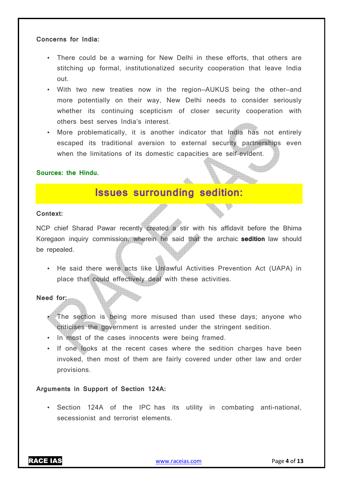#### **Concerns for India:**

- There could be a warning for New Delhi in these efforts, that others are stitching up formal, institutionalized security cooperation that leave India out.
- With two new treaties now in the region—AUKUS being the other—and more potentially on their way, New Delhi needs to consider seriously whether its continuing scepticism of closer security cooperation with others best serves India's interest.
- More problematically, it is another indicator that India has not entirely escaped its traditional aversion to external security partnerships even when the limitations of its domestic capacities are self-evident.

#### **Sources: the Hindu.**

# **Issues surrounding sedition:**

#### **Context:**

NCP chief Sharad Pawar recently created a stir with his affidavit before the Bhima Koregaon inquiry commission, wherein he said that the archaic **sedition** law should be repealed.

• He said there were acts like Unlawful Activities Prevention Act (UAPA) in place that could effectively deal with these activities.

**Need for:** 

- The section is being more misused than used these days; anyone who criticises the government is arrested under the stringent sedition.
- In most of the cases innocents were being framed.
- If one looks at the recent cases where the sedition charges have been invoked, then most of them are fairly covered under other law and order provisions.

# **Arguments in Support of Section 124A:**

• Section 124A of the IPC has its utility in combating anti-national, secessionist and terrorist elements.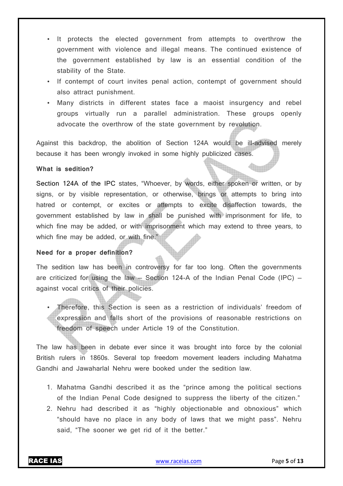- It protects the elected government from attempts to overthrow the government with violence and illegal means. The continued existence of the government established by law is an essential condition of the stability of the State.
- If contempt of court invites penal action, contempt of government should also attract punishment.
- Many districts in different states face a maoist insurgency and rebel groups virtually run a parallel administration. These groups openly advocate the overthrow of the state government by revolution.

Against this backdrop, the abolition of Section 124A would be ill-advised merely because it has been wrongly invoked in some highly publicized cases.

#### **What is sedition?**

Section 124A of the IPC states, "Whoever, by words, either spoken or written, or by signs, or by visible representation, or otherwise, brings or attempts to bring into hatred or contempt, or excites or attempts to excite disaffection towards, the government established by law in shall be punished with imprisonment for life, to which fine may be added, or with imprisonment which may extend to three years, to which fine may be added, or with fine."

#### **Need for a proper definition?**

The sedition law has been in controversy for far too long. Often the governments are criticized for using the law  $-$  Section 124-A of the Indian Penal Code (IPC)  $$ against vocal critics of their policies.

• Therefore, this Section is seen as a restriction of individuals' freedom of expression and falls short of the provisions of reasonable restrictions on freedom of speech under Article 19 of the Constitution.

The law has been in debate ever since it was brought into force by the colonial British rulers in 1860s. Several top freedom movement leaders including Mahatma Gandhi and Jawaharlal Nehru were booked under the sedition law.

- 1. Mahatma Gandhi described it as the "prince among the political sections of the Indian Penal Code designed to suppress the liberty of the citizen."
- 2. Nehru had described it as "highly objectionable and obnoxious" which "should have no place in any body of laws that we might pass". Nehru said, "The sooner we get rid of it the better."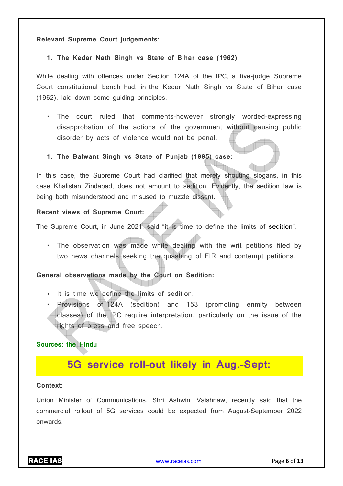#### **Relevant Supreme Court judgements:**

### **1. The Kedar Nath Singh vs State of Bihar case (1962):**

While dealing with offences under Section 124A of the IPC, a five-judge Supreme Court constitutional bench had, in the Kedar Nath Singh vs State of Bihar case (1962), laid down some guiding principles.

• The court ruled that comments-however strongly worded-expressing disapprobation of the actions of the government without causing public disorder by acts of violence would not be penal.

# **1. The Balwant Singh vs State of Punjab (1995) case:**

In this case, the Supreme Court had clarified that merely shouting slogans, in this case Khalistan Zindabad, does not amount to sedition. Evidently, the sedition law is being both misunderstood and misused to muzzle dissent.

# **Recent views of Supreme Court:**

The Supreme Court, in June 2021, said "it is time to define the limits of sedition".

• The observation was made while dealing with the writ petitions filed by two news channels seeking the quashing of FIR and contempt petitions.

# **General observations made by the Court on Sedition:**

- It is time we define the limits of sedition.
- Provisions of 124A (sedition) and 153 (promoting enmity between classes) of the IPC require interpretation, particularly on the issue of the rights of press and free speech.

# **Sources: the Hindu**

# **5G service roll-out likely in Aug.-Sept:**

#### **Context:**

Union Minister of Communications, Shri Ashwini Vaishnaw, recently said that the commercial rollout of 5G services could be expected from August-September 2022 onwards.

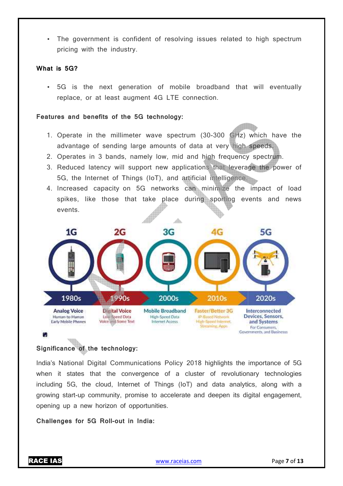• The government is confident of resolving issues related to high spectrum pricing with the industry.

#### **What is 5G?**

• 5G is the next generation of mobile broadband that will eventually replace, or at least augment 4G LTE connection. e industry.<br>
ext generation of mobile broadband tha<br>
least augment 4G LTE connection.<br> **ts of the 5G technology:**<br>
a millimeter wave spectrum (30-300 GHz)

#### **Features and benefits of the 5G technology:**

- 1. Operate in the millimeter wave spectrum  $(30-300)$  GHz) which have the advantage of sending large amounts of data at very high speeds.
- 2. Operates in 3 bands, namely low, mid and high frequency spectrum.
- 3. Reduced latency will support new applications that leverage the power of 5G, the Internet of Things (IoT), and artificial intelligence.
- 4. Increased capacity on 5G networks can minimize the impact of load spikes, like those that take place during sporting events and news events.



# **Significance of the technology:**

India's National Digital Communications Policy 2018 highlights the importance of 5G when it states that the convergence of a cluster of revolutionary technologies including 5G, the cloud, Internet of Things (IoT) and data analytics, along with a<br>growing start-up community, promise to accelerate and deepen its digital engagement, growing start-up community, promise to accelerate and deepen its digital engagement, opening up a new horizon of opportunities.

#### Challenges for 5G Roll-out in India: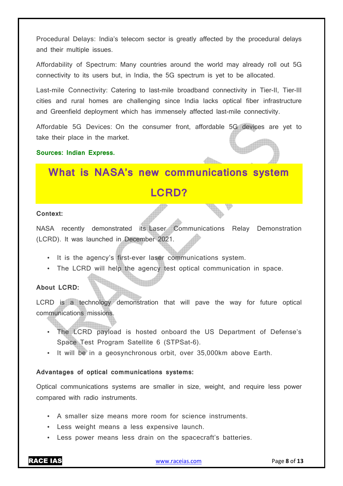Procedural Delays: India's telecom sector is greatly affected by the procedural delays and their multiple issues.

Affordability of Spectrum: Many countries around the world may already roll out 5G connectivity to its users but, in India, the 5G spectrum is yet to be allocated.

Last-mile Connectivity: Catering to last-mile broadband connectivity in Tier-II, Tier-III cities and rural homes are challenging since India lacks optical fiber infrastructure and Greenfield deployment which has immensely affected last-mile connectivity.

Affordable 5G Devices: On the consumer front, affordable 5G devices are yet to take their place in the market.

# **Sources: Indian Express.**

# **What is NASA's new communications system LCRD?**

#### **Context:**

NASA recently demonstrated its Laser Communications Relay Demonstration (LCRD). It was launched in December 2021.

- It is the agency's first-ever laser communications system.
- The LCRD will help the agency test optical communication in space.

# **About LCRD:**

LCRD is a technology demonstration that will pave the way for future optical communications missions.

- The LCRD payload is hosted onboard the US Department of Defense's Space Test Program Satellite 6 (STPSat-6).
- It will be in a geosynchronous orbit, over 35,000km above Earth.

# **Advantages of optical communications systems:**

Optical communications systems are smaller in size, weight, and require less power compared with radio instruments.

- A smaller size means more room for science instruments.
- Less weight means a less expensive launch.
- Less power means less drain on the spacecraft's batteries.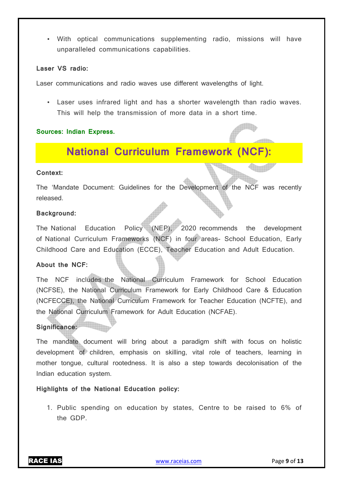• With optical communications supplementing radio, missions will have unparalleled communications capabilities.

#### **Laser VS radio:**

Laser communications and radio waves use different wavelengths of light.

• Laser uses infrared light and has a shorter wavelength than radio waves. This will help the transmission of more data in a short time.

#### **Sources: Indian Express.**

# **National Curriculum Framework (NCF):**

#### **Context:**

The 'Mandate Document: Guidelines for the Development of the NCF was recently released.

#### **Background:**

The National Education Policy (NEP), 2020 recommends the development of National Curriculum Frameworks (NCF) in four areas- School Education, Early Childhood Care and Education (ECCE), Teacher Education and Adult Education.

### **About the NCF:**

The NCF includes the National Curriculum Framework for School Education (NCFSE), the National Curriculum Framework for Early Childhood Care & Education (NCFECCE), the National Curriculum Framework for Teacher Education (NCFTE), and the National Curriculum Framework for Adult Education (NCFAE).

#### **Significance:**

The mandate document will bring about a paradigm shift with focus on holistic development of children, emphasis on skilling, vital role of teachers, learning in mother tongue, cultural rootedness. It is also a step towards decolonisation of the Indian education system.

**Highlights of the National Education policy:** 

1. Public spending on education by states, Centre to be raised to 6% of the GDP.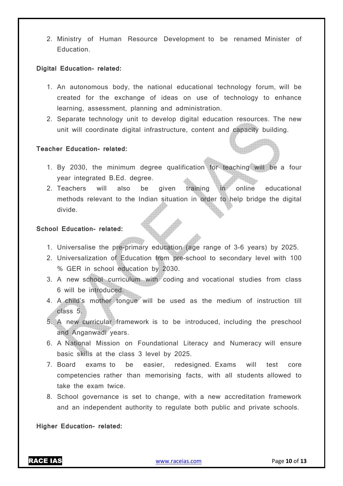2. Ministry of Human Resource Development to be renamed Minister of Education.

#### **Digital Education- related:**

- 1. An autonomous body, the national educational technology forum, will be created for the exchange of ideas on use of technology to enhance learning, assessment, planning and administration.
- 2. Separate technology unit to develop digital education resources. The new unit will coordinate digital infrastructure, content and capacity building.

# **Teacher Education- related:**

- 1. By 2030, the minimum degree qualification for teaching will be a four year integrated B.Ed. degree.
- 2. Teachers will also be given training in online educational methods relevant to the Indian situation in order to help bridge the digital divide.

#### **School Education- related:**

- 1. Universalise the pre-primary education (age range of 3-6 years) by 2025.
- 2. Universalization of Education from pre-school to secondary level with 100 % GER in school education by 2030.
- 3. A new school curriculum with coding and vocational studies from class 6 will be introduced.
- 4. A child's mother tongue will be used as the medium of instruction till class 5.
- 5. A new curricular framework is to be introduced, including the preschool and Anganwadi years.
- 6. A National Mission on Foundational Literacy and Numeracy will ensure basic skills at the class 3 level by 2025.
- 7. Board exams to be easier, redesigned. Exams will test core competencies rather than memorising facts, with all students allowed to take the exam twice.
- 8. School governance is set to change, with a new accreditation framework and an independent authority to regulate both public and private schools.

**Higher Education- related:**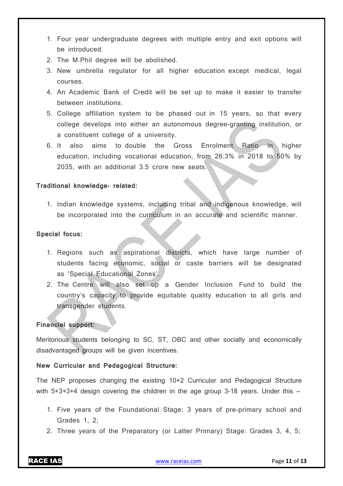- 1. Four year undergraduate degrees with multiple entry and exit options will be introduced.
- 2. The M.Phil degree will be abolished.
- 3. New umbrella regulator for all higher education except medical, legal courses.
- 4. An Academic Bank of Credit will be set up to make it easier to transfer between institutions.
- 5. College affiliation system to be phased out in 15 years, so that every college develops into either an autonomous degree-granting institution, or a constituent college of a university.
- 6. It also aims to double the Gross Enrolment Ratio in higher education, including vocational education, from 26.3% in 2018 to 50% by 2035, with an additional 3.5 crore new seats.

# **Traditional knowledge- related:**

1. Indian knowledge systems, including tribal and indigenous knowledge, will be incorporated into the curriculum in an accurate and scientific manner.

# **Special focus:**

- 1. Regions such as aspirational districts, which have large number of students facing economic, social or caste barriers will be designated as 'Special Educational Zones'.
- 2. The Centre will also set up a Gender Inclusion Fund to build the country's capacity to provide equitable quality education to all girls and transgender students.

# **Financial support:**

Meritorious students belonging to SC, ST, OBC and other socially and economically disadvantaged groups will be given incentives.

# **New Curricular and Pedagogical Structure:**

The NEP proposes changing the existing 10+2 Curricular and Pedagogical Structure with 5+3+3+4 design covering the children in the age group 3-18 years. Under this –

- 1. Five years of the Foundational Stage: 3 years of pre-primary school and Grades 1, 2;
- 2. Three years of the Preparatory (or Latter Primary) Stage: Grades 3, 4, 5;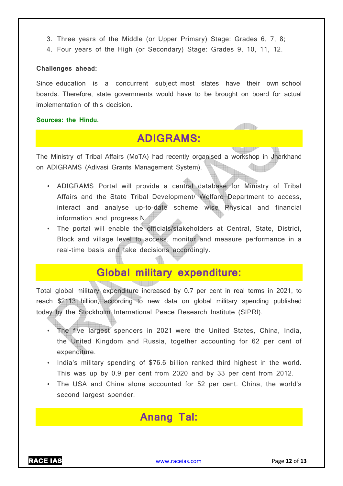- 3. Three years of the Middle (or Upper Primary) Stage: Grades 6, 7, 8;
- 4. Four years of the High (or Secondary) Stage: Grades 9, 10, 11, 12.

### **Challenges ahead:**

Since education is a concurrent subject most states have their own school boards. Therefore, state governments would have to be brought on board for actual implementation of this decision.

#### **Sources: the Hindu.**

# **ADIGRAMS:**

The Ministry of Tribal Affairs (MoTA) had recently organised a workshop in Jharkhand on ADIGRAMS (Adivasi Grants Management System).

- ADIGRAMS Portal will provide a central database for Ministry of Tribal Affairs and the State Tribal Development/ Welfare Department to access, interact and analyse up-to-date scheme wise Physical and financial information and progress.N
- The portal will enable the officials/stakeholders at Central, State, District, Block and village level to access, monitor and measure performance in a real-time basis and take decisions accordingly.

# **Global military expenditure:**

Total global military expenditure increased by 0.7 per cent in real terms in 2021, to reach \$2113 billion, according to new data on global military spending published today by the Stockholm International Peace Research Institute (SIPRI).

- The five largest spenders in 2021 were the United States, China, India, the United Kingdom and Russia, together accounting for 62 per cent of expenditure.
- India's military spending of \$76.6 billion ranked third highest in the world. This was up by 0.9 per cent from 2020 and by 33 per cent from 2012.
- The USA and China alone accounted for 52 per cent. China, the world's second largest spender.

# **Anang Tal:**